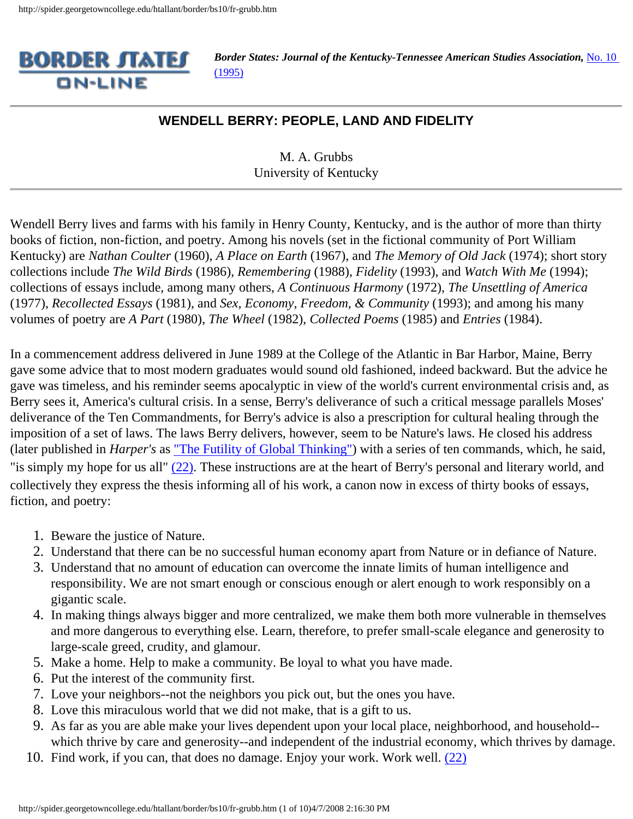

*Border States: Journal of the Kentucky-Tennessee American Studies Association, No. 10* [\(1995\)](http://spider.georgetowncollege.edu/htallant/border/bs10tabl.htm)

## **WENDELL BERRY: PEOPLE, LAND AND FIDELITY**

M. A. Grubbs University of Kentucky

Wendell Berry lives and farms with his family in Henry County, Kentucky, and is the author of more than thirty books of fiction, non-fiction, and poetry. Among his novels (set in the fictional community of Port William Kentucky) are *Nathan Coulter* (1960), *A Place on Earth* (1967), and *The Memory of Old Jack* (1974); short story collections include *The Wild Birds* (1986), *Remembering* (1988), *Fidelity* (1993), and *Watch With Me* (1994); collections of essays include, among many others, *A Continuous Harmony* (1972), *The Unsettling of America* (1977), *Recollected Essays* (1981), and *Sex, Economy, Freedom, & Community* (1993); and among his many volumes of poetry are *A Part* (1980), *The Wheel* (1982), *Collected Poems* (1985) and *Entries* (1984).

In a commencement address delivered in June 1989 at the College of the Atlantic in Bar Harbor, Maine, Berry gave some advice that to most modern graduates would sound old fashioned, indeed backward. But the advice he gave was timeless, and his reminder seems apocalyptic in view of the world's current environmental crisis and, as Berry sees it, America's cultural crisis. In a sense, Berry's deliverance of such a critical message parallels Moses' deliverance of the Ten Commandments, for Berry's advice is also a prescription for cultural healing through the imposition of a set of laws. The laws Berry delivers, however, seem to be Nature's laws. He closed his address (later published in *Harper's* as ["The Futility of Global Thinking"\)](#page-9-0) with a series of ten commands, which, he said, "is simply my hope for us all"  $(22)$ . These instructions are at the heart of Berry's personal and literary world, and collectively they express the thesis informing all of his work, a canon now in excess of thirty books of essays, fiction, and poetry:

- 1. Beware the justice of Nature.
- 2. Understand that there can be no successful human economy apart from Nature or in defiance of Nature.
- 3. Understand that no amount of education can overcome the innate limits of human intelligence and responsibility. We are not smart enough or conscious enough or alert enough to work responsibly on a gigantic scale.
- 4. In making things always bigger and more centralized, we make them both more vulnerable in themselves and more dangerous to everything else. Learn, therefore, to prefer small-scale elegance and generosity to large-scale greed, crudity, and glamour.
- 5. Make a home. Help to make a community. Be loyal to what you have made.
- 6. Put the interest of the community first.
- 7. Love your neighbors--not the neighbors you pick out, but the ones you have.
- 8. Love this miraculous world that we did not make, that is a gift to us.
- 9. As far as you are able make your lives dependent upon your local place, neighborhood, and household- which thrive by care and generosity--and independent of the industrial economy, which thrives by damage.
- 10. Find work, if you can, that does no damage. Enjoy your work. Work well. [\(22\)](#page-9-0)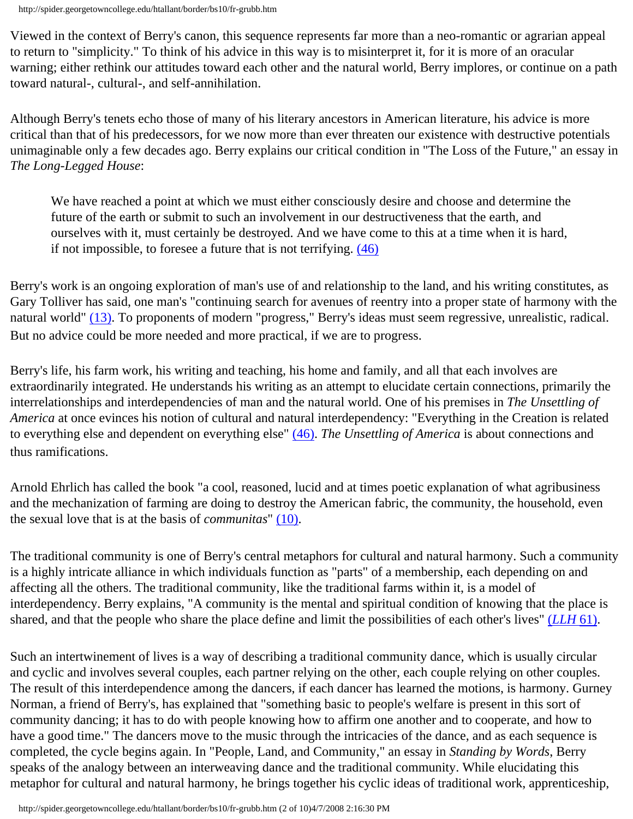Viewed in the context of Berry's canon, this sequence represents far more than a neo-romantic or agrarian appeal to return to "simplicity." To think of his advice in this way is to misinterpret it, for it is more of an oracular warning; either rethink our attitudes toward each other and the natural world, Berry implores, or continue on a path toward natural-, cultural-, and self-annihilation.

Although Berry's tenets echo those of many of his literary ancestors in American literature, his advice is more critical than that of his predecessors, for we now more than ever threaten our existence with destructive potentials unimaginable only a few decades ago. Berry explains our critical condition in "The Loss of the Future," an essay in *The Long-Legged House*:

We have reached a point at which we must either consciously desire and choose and determine the future of the earth or submit to such an involvement in our destructiveness that the earth, and ourselves with it, must certainly be destroyed. And we have come to this at a time when it is hard, if not impossible, to foresee a future that is not terrifying. [\(46\)](#page-9-1)

Berry's work is an ongoing exploration of man's use of and relationship to the land, and his writing constitutes, as Gary Tolliver has said, one man's "continuing search for avenues of reentry into a proper state of harmony with the natural world" [\(13\).](#page-9-2) To proponents of modern "progress," Berry's ideas must seem regressive, unrealistic, radical. But no advice could be more needed and more practical, if we are to progress.

Berry's life, his farm work, his writing and teaching, his home and family, and all that each involves are extraordinarily integrated. He understands his writing as an attempt to elucidate certain connections, primarily the interrelationships and interdependencies of man and the natural world. One of his premises in *The Unsettling of America* at once evinces his notion of cultural and natural interdependency: "Everything in the Creation is related to everything else and dependent on everything else" [\(46\)](#page-9-3). *The Unsettling of America* is about connections and thus ramifications.

Arnold Ehrlich has called the book "a cool, reasoned, lucid and at times poetic explanation of what agribusiness and the mechanization of farming are doing to destroy the American fabric, the community, the household, even the sexual love that is at the basis of *communitas*" [\(10\).](#page-9-4)

The traditional community is one of Berry's central metaphors for cultural and natural harmony. Such a community is a highly intricate alliance in which individuals function as "parts" of a membership, each depending on and affecting all the others. The traditional community, like the traditional farms within it, is a model of interdependency. Berry explains, "A community is the mental and spiritual condition of knowing that the place is shared, and that the people who share the place define and limit the possibilities of each other's lives" (*[LLH](#page-9-1)* 61).

Such an intertwinement of lives is a way of describing a traditional community dance, which is usually circular and cyclic and involves several couples, each partner relying on the other, each couple relying on other couples. The result of this interdependence among the dancers, if each dancer has learned the motions, is harmony. Gurney Norman, a friend of Berry's, has explained that "something basic to people's welfare is present in this sort of community dancing; it has to do with people knowing how to affirm one another and to cooperate, and how to have a good time." The dancers move to the music through the intricacies of the dance, and as each sequence is completed, the cycle begins again. In "People, Land, and Community," an essay in *Standing by Words*, Berry speaks of the analogy between an interweaving dance and the traditional community. While elucidating this metaphor for cultural and natural harmony, he brings together his cyclic ideas of traditional work, apprenticeship,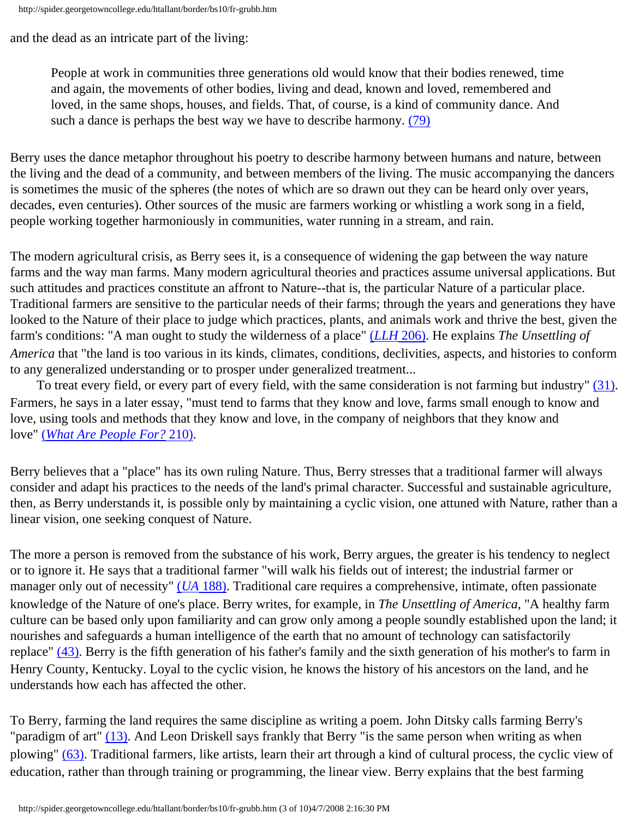and the dead as an intricate part of the living:

People at work in communities three generations old would know that their bodies renewed, time and again, the movements of other bodies, living and dead, known and loved, remembered and loved, in the same shops, houses, and fields. That, of course, is a kind of community dance. And such a dance is perhaps the best way we have to describe harmony. [\(79\)](#page-9-5)

Berry uses the dance metaphor throughout his poetry to describe harmony between humans and nature, between the living and the dead of a community, and between members of the living. The music accompanying the dancers is sometimes the music of the spheres (the notes of which are so drawn out they can be heard only over years, decades, even centuries). Other sources of the music are farmers working or whistling a work song in a field, people working together harmoniously in communities, water running in a stream, and rain.

The modern agricultural crisis, as Berry sees it, is a consequence of widening the gap between the way nature farms and the way man farms. Many modern agricultural theories and practices assume universal applications. But such attitudes and practices constitute an affront to Nature--that is, the particular Nature of a particular place. Traditional farmers are sensitive to the particular needs of their farms; through the years and generations they have looked to the Nature of their place to judge which practices, plants, and animals work and thrive the best, given the farm's conditions: "A man ought to study the wilderness of a place" (*LLH* [206\).](#page-9-1) He explains *The Unsettling of America* that "the land is too various in its kinds, climates, conditions, declivities, aspects, and histories to conform to any generalized understanding or to prosper under generalized treatment...

 To treat every field, or every part of every field, with the same consideration is not farming but industry" [\(31\)](#page-9-3). Farmers, he says in a later essay, "must tend to farms that they know and love, farms small enough to know and love, using tools and methods that they know and love, in the company of neighbors that they know and love" (*[What Are People For?](#page-9-6)* 210).

Berry believes that a "place" has its own ruling Nature. Thus, Berry stresses that a traditional farmer will always consider and adapt his practices to the needs of the land's primal character. Successful and sustainable agriculture, then, as Berry understands it, is possible only by maintaining a cyclic vision, one attuned with Nature, rather than a linear vision, one seeking conquest of Nature.

The more a person is removed from the substance of his work, Berry argues, the greater is his tendency to neglect or to ignore it. He says that a traditional farmer "will walk his fields out of interest; the industrial farmer or manager only out of necessity" (*UA* [188\)](#page-9-3). Traditional care requires a comprehensive, intimate, often passionate knowledge of the Nature of one's place. Berry writes, for example, in *The Unsettling of America*, "A healthy farm culture can be based only upon familiarity and can grow only among a people soundly established upon the land; it nourishes and safeguards a human intelligence of the earth that no amount of technology can satisfactorily replace" [\(43\)](#page-9-3). Berry is the fifth generation of his father's family and the sixth generation of his mother's to farm in Henry County, Kentucky. Loyal to the cyclic vision, he knows the history of his ancestors on the land, and he understands how each has affected the other.

To Berry, farming the land requires the same discipline as writing a poem. John Ditsky calls farming Berry's "paradigm of art" [\(13\)](#page-9-7). And Leon Driskell says frankly that Berry "is the same person when writing as when plowing" [\(63\)](#page-9-8). Traditional farmers, like artists, learn their art through a kind of cultural process, the cyclic view of education, rather than through training or programming, the linear view. Berry explains that the best farming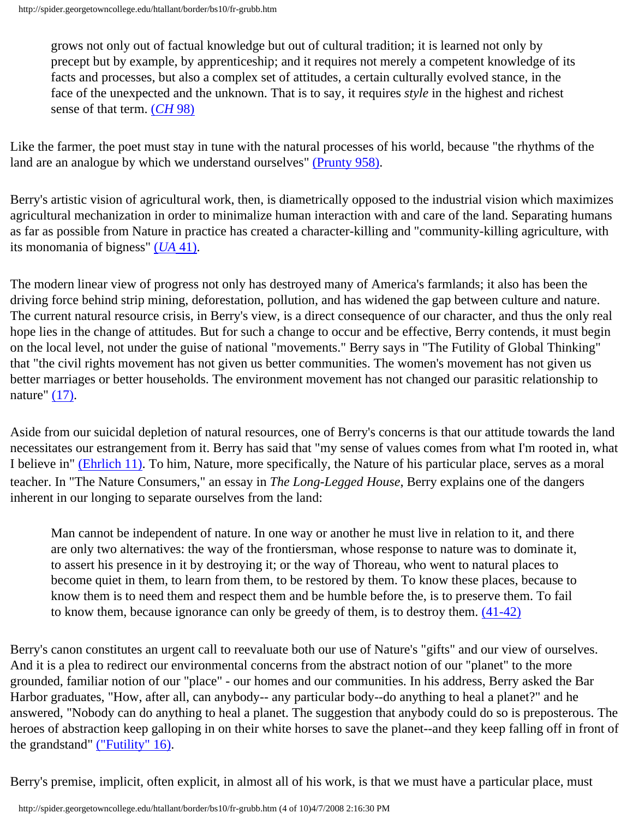grows not only out of factual knowledge but out of cultural tradition; it is learned not only by precept but by example, by apprenticeship; and it requires not merely a competent knowledge of its facts and processes, but also a complex set of attitudes, a certain culturally evolved stance, in the face of the unexpected and the unknown. That is to say, it requires *style* in the highest and richest sense of that term. (*[CH](#page-9-9)* 98)

Like the farmer, the poet must stay in tune with the natural processes of his world, because "the rhythms of the land are an analogue by which we understand ourselves" [\(Prunty 958\)](#page-9-10).

Berry's artistic vision of agricultural work, then, is diametrically opposed to the industrial vision which maximizes agricultural mechanization in order to minimalize human interaction with and care of the land. Separating humans as far as possible from Nature in practice has created a character-killing and "community-killing agriculture, with its monomania of bigness" (*UA* [41\)](#page-9-3).

The modern linear view of progress not only has destroyed many of America's farmlands; it also has been the driving force behind strip mining, deforestation, pollution, and has widened the gap between culture and nature. The current natural resource crisis, in Berry's view, is a direct consequence of our character, and thus the only real hope lies in the change of attitudes. But for such a change to occur and be effective, Berry contends, it must begin on the local level, not under the guise of national "movements." Berry says in "The Futility of Global Thinking" that "the civil rights movement has not given us better communities. The women's movement has not given us better marriages or better households. The environment movement has not changed our parasitic relationship to nature" [\(17\)](#page-9-0).

Aside from our suicidal depletion of natural resources, one of Berry's concerns is that our attitude towards the land necessitates our estrangement from it. Berry has said that "my sense of values comes from what I'm rooted in, what I believe in" [\(Ehrlich 11\).](#page-9-4) To him, Nature, more specifically, the Nature of his particular place, serves as a moral teacher. In "The Nature Consumers," an essay in *The Long-Legged House*, Berry explains one of the dangers inherent in our longing to separate ourselves from the land:

Man cannot be independent of nature. In one way or another he must live in relation to it, and there are only two alternatives: the way of the frontiersman, whose response to nature was to dominate it, to assert his presence in it by destroying it; or the way of Thoreau, who went to natural places to become quiet in them, to learn from them, to be restored by them. To know these places, because to know them is to need them and respect them and be humble before the, is to preserve them. To fail to know them, because ignorance can only be greedy of them, is to destroy them. [\(41-42\)](#page-9-1)

Berry's canon constitutes an urgent call to reevaluate both our use of Nature's "gifts" and our view of ourselves. And it is a plea to redirect our environmental concerns from the abstract notion of our "planet" to the more grounded, familiar notion of our "place" - our homes and our communities. In his address, Berry asked the Bar Harbor graduates, "How, after all, can anybody-- any particular body--do anything to heal a planet?" and he answered, "Nobody can do anything to heal a planet. The suggestion that anybody could do so is preposterous. The heroes of abstraction keep galloping in on their white horses to save the planet--and they keep falling off in front of the grandstand" [\("Futility" 16\)](#page-9-0).

Berry's premise, implicit, often explicit, in almost all of his work, is that we must have a particular place, must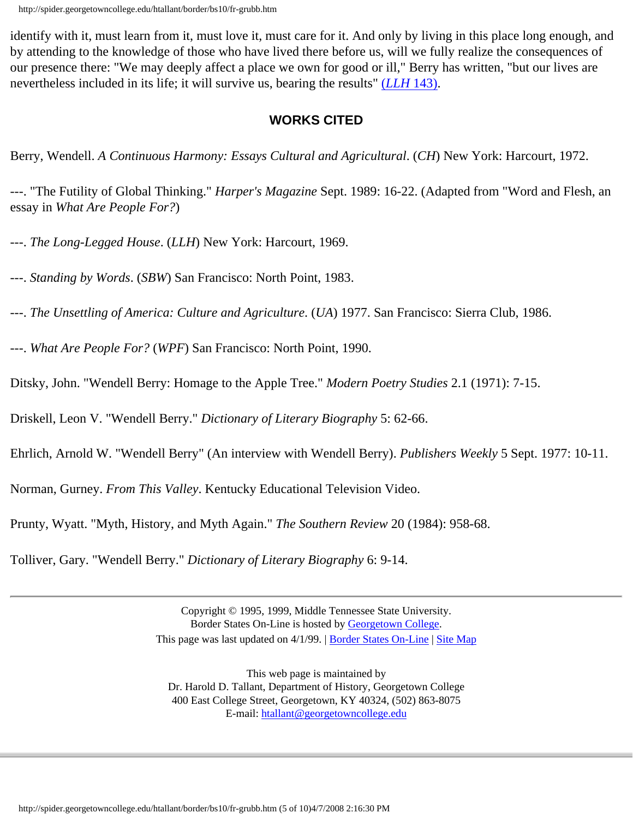identify with it, must learn from it, must love it, must care for it. And only by living in this place long enough, and by attending to the knowledge of those who have lived there before us, will we fully realize the consequences of our presence there: "We may deeply affect a place we own for good or ill," Berry has written, "but our lives are nevertheless included in its life; it will survive us, bearing the results" (*LLH* [143\)](#page-9-1).

## **WORKS CITED**

Berry, Wendell. *A Continuous Harmony: Essays Cultural and Agricultural*. (*CH*) New York: Harcourt, 1972.

---. "The Futility of Global Thinking." *Harper's Magazine* Sept. 1989: 16-22. (Adapted from "Word and Flesh, an essay in *What Are People For?*)

---. *The Long-Legged House*. (*LLH*) New York: Harcourt, 1969.

---. *Standing by Words*. (*SBW*) San Francisco: North Point, 1983.

---. *The Unsettling of America: Culture and Agriculture*. (*UA*) 1977. San Francisco: Sierra Club, 1986.

---. *What Are People For?* (*WPF*) San Francisco: North Point, 1990.

Ditsky, John. "Wendell Berry: Homage to the Apple Tree." *Modern Poetry Studies* 2.1 (1971): 7-15.

Driskell, Leon V. "Wendell Berry." *Dictionary of Literary Biography* 5: 62-66.

Ehrlich, Arnold W. "Wendell Berry" (An interview with Wendell Berry). *Publishers Weekly* 5 Sept. 1977: 10-11.

Norman, Gurney. *From This Valley*. Kentucky Educational Television Video.

Prunty, Wyatt. "Myth, History, and Myth Again." *The Southern Review* 20 (1984): 958-68.

Tolliver, Gary. "Wendell Berry." *Dictionary of Literary Biography* 6: 9-14.

Copyright © 1995, 1999, Middle Tennessee State University. Border States On-Line is hosted by [Georgetown College.](http://www.georgetowncollege.edu/) This page was last updated on 4/1/99. | [Border States On-Line](http://spider.georgetowncollege.edu/htallant/border/Index.htm) | [Site Map](http://spider.georgetowncollege.edu/htallant/index.htm)

This web page is maintained by Dr. Harold D. Tallant, Department of History, Georgetown College 400 East College Street, Georgetown, KY 40324, (502) 863-8075 E-mail: [htallant@georgetowncollege.edu](mailto:htallant@georgetowncollege.edu)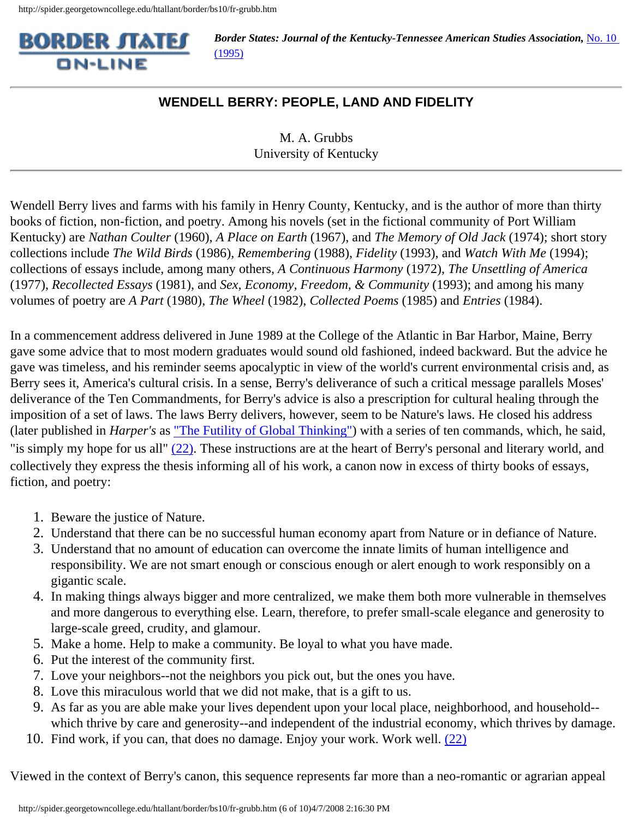

## **WENDELL BERRY: PEOPLE, LAND AND FIDELITY**

M. A. Grubbs University of Kentucky

Wendell Berry lives and farms with his family in Henry County, Kentucky, and is the author of more than thirty books of fiction, non-fiction, and poetry. Among his novels (set in the fictional community of Port William Kentucky) are *Nathan Coulter* (1960), *A Place on Earth* (1967), and *The Memory of Old Jack* (1974); short story collections include *The Wild Birds* (1986), *Remembering* (1988), *Fidelity* (1993), and *Watch With Me* (1994); collections of essays include, among many others, *A Continuous Harmony* (1972), *The Unsettling of America* (1977), *Recollected Essays* (1981), and *Sex, Economy, Freedom, & Community* (1993); and among his many volumes of poetry are *A Part* (1980), *The Wheel* (1982), *Collected Poems* (1985) and *Entries* (1984).

In a commencement address delivered in June 1989 at the College of the Atlantic in Bar Harbor, Maine, Berry gave some advice that to most modern graduates would sound old fashioned, indeed backward. But the advice he gave was timeless, and his reminder seems apocalyptic in view of the world's current environmental crisis and, as Berry sees it, America's cultural crisis. In a sense, Berry's deliverance of such a critical message parallels Moses' deliverance of the Ten Commandments, for Berry's advice is also a prescription for cultural healing through the imposition of a set of laws. The laws Berry delivers, however, seem to be Nature's laws. He closed his address (later published in *Harper's* as ["The Futility of Global Thinking"\)](#page-9-0) with a series of ten commands, which, he said, "is simply my hope for us all" [\(22\)](#page-9-0). These instructions are at the heart of Berry's personal and literary world, and collectively they express the thesis informing all of his work, a canon now in excess of thirty books of essays, fiction, and poetry:

- 1. Beware the justice of Nature.
- 2. Understand that there can be no successful human economy apart from Nature or in defiance of Nature.
- 3. Understand that no amount of education can overcome the innate limits of human intelligence and responsibility. We are not smart enough or conscious enough or alert enough to work responsibly on a gigantic scale.
- 4. In making things always bigger and more centralized, we make them both more vulnerable in themselves and more dangerous to everything else. Learn, therefore, to prefer small-scale elegance and generosity to large-scale greed, crudity, and glamour.
- 5. Make a home. Help to make a community. Be loyal to what you have made.
- 6. Put the interest of the community first.
- 7. Love your neighbors--not the neighbors you pick out, but the ones you have.
- 8. Love this miraculous world that we did not make, that is a gift to us.
- 9. As far as you are able make your lives dependent upon your local place, neighborhood, and household- which thrive by care and generosity--and independent of the industrial economy, which thrives by damage.
- 10. Find work, if you can, that does no damage. Enjoy your work. Work well. [\(22\)](#page-9-0)

Viewed in the context of Berry's canon, this sequence represents far more than a neo-romantic or agrarian appeal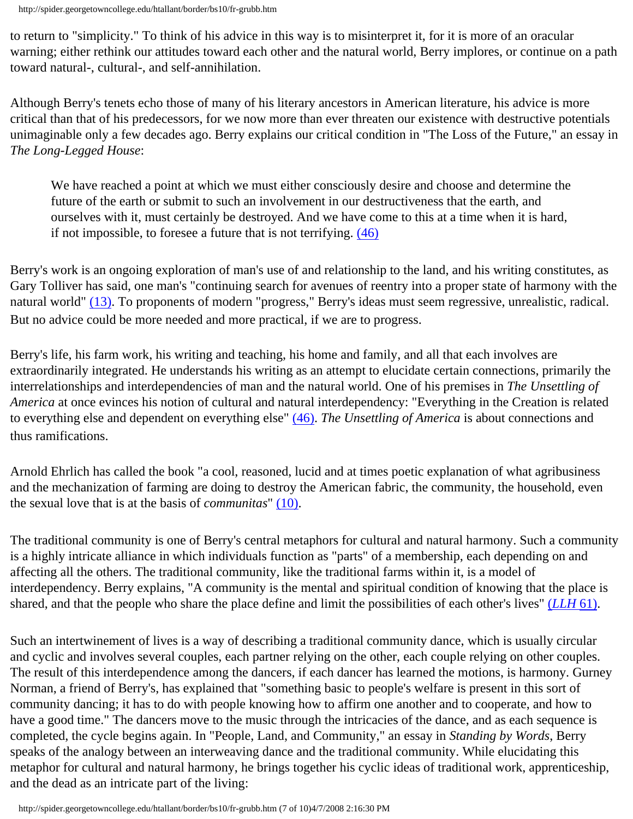to return to "simplicity." To think of his advice in this way is to misinterpret it, for it is more of an oracular warning; either rethink our attitudes toward each other and the natural world, Berry implores, or continue on a path toward natural-, cultural-, and self-annihilation.

Although Berry's tenets echo those of many of his literary ancestors in American literature, his advice is more critical than that of his predecessors, for we now more than ever threaten our existence with destructive potentials unimaginable only a few decades ago. Berry explains our critical condition in "The Loss of the Future," an essay in *The Long-Legged House*:

We have reached a point at which we must either consciously desire and choose and determine the future of the earth or submit to such an involvement in our destructiveness that the earth, and ourselves with it, must certainly be destroyed. And we have come to this at a time when it is hard, if not impossible, to foresee a future that is not terrifying. [\(46\)](#page-9-1)

Berry's work is an ongoing exploration of man's use of and relationship to the land, and his writing constitutes, as Gary Tolliver has said, one man's "continuing search for avenues of reentry into a proper state of harmony with the natural world" [\(13\).](#page-9-2) To proponents of modern "progress," Berry's ideas must seem regressive, unrealistic, radical. But no advice could be more needed and more practical, if we are to progress.

Berry's life, his farm work, his writing and teaching, his home and family, and all that each involves are extraordinarily integrated. He understands his writing as an attempt to elucidate certain connections, primarily the interrelationships and interdependencies of man and the natural world. One of his premises in *The Unsettling of America* at once evinces his notion of cultural and natural interdependency: "Everything in the Creation is related to everything else and dependent on everything else" [\(46\)](#page-9-3). *The Unsettling of America* is about connections and thus ramifications.

Arnold Ehrlich has called the book "a cool, reasoned, lucid and at times poetic explanation of what agribusiness and the mechanization of farming are doing to destroy the American fabric, the community, the household, even the sexual love that is at the basis of *communitas*" [\(10\).](#page-9-4)

The traditional community is one of Berry's central metaphors for cultural and natural harmony. Such a community is a highly intricate alliance in which individuals function as "parts" of a membership, each depending on and affecting all the others. The traditional community, like the traditional farms within it, is a model of interdependency. Berry explains, "A community is the mental and spiritual condition of knowing that the place is shared, and that the people who share the place define and limit the possibilities of each other's lives" (*[LLH](#page-9-1)* 61).

Such an intertwinement of lives is a way of describing a traditional community dance, which is usually circular and cyclic and involves several couples, each partner relying on the other, each couple relying on other couples. The result of this interdependence among the dancers, if each dancer has learned the motions, is harmony. Gurney Norman, a friend of Berry's, has explained that "something basic to people's welfare is present in this sort of community dancing; it has to do with people knowing how to affirm one another and to cooperate, and how to have a good time." The dancers move to the music through the intricacies of the dance, and as each sequence is completed, the cycle begins again. In "People, Land, and Community," an essay in *Standing by Words*, Berry speaks of the analogy between an interweaving dance and the traditional community. While elucidating this metaphor for cultural and natural harmony, he brings together his cyclic ideas of traditional work, apprenticeship, and the dead as an intricate part of the living: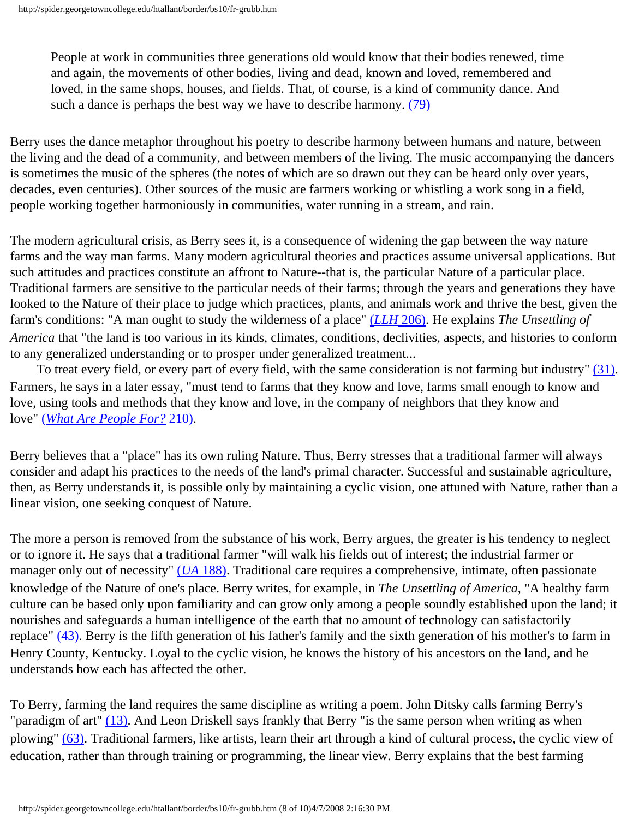People at work in communities three generations old would know that their bodies renewed, time and again, the movements of other bodies, living and dead, known and loved, remembered and loved, in the same shops, houses, and fields. That, of course, is a kind of community dance. And such a dance is perhaps the best way we have to describe harmony. [\(79\)](#page-9-5)

Berry uses the dance metaphor throughout his poetry to describe harmony between humans and nature, between the living and the dead of a community, and between members of the living. The music accompanying the dancers is sometimes the music of the spheres (the notes of which are so drawn out they can be heard only over years, decades, even centuries). Other sources of the music are farmers working or whistling a work song in a field, people working together harmoniously in communities, water running in a stream, and rain.

The modern agricultural crisis, as Berry sees it, is a consequence of widening the gap between the way nature farms and the way man farms. Many modern agricultural theories and practices assume universal applications. But such attitudes and practices constitute an affront to Nature--that is, the particular Nature of a particular place. Traditional farmers are sensitive to the particular needs of their farms; through the years and generations they have looked to the Nature of their place to judge which practices, plants, and animals work and thrive the best, given the farm's conditions: "A man ought to study the wilderness of a place" (*LLH* [206\).](#page-9-1) He explains *The Unsettling of America* that "the land is too various in its kinds, climates, conditions, declivities, aspects, and histories to conform to any generalized understanding or to prosper under generalized treatment...

 To treat every field, or every part of every field, with the same consideration is not farming but industry" [\(31\)](#page-9-3). Farmers, he says in a later essay, "must tend to farms that they know and love, farms small enough to know and love, using tools and methods that they know and love, in the company of neighbors that they know and love" (*[What Are People For?](#page-9-6)* 210).

Berry believes that a "place" has its own ruling Nature. Thus, Berry stresses that a traditional farmer will always consider and adapt his practices to the needs of the land's primal character. Successful and sustainable agriculture, then, as Berry understands it, is possible only by maintaining a cyclic vision, one attuned with Nature, rather than a linear vision, one seeking conquest of Nature.

The more a person is removed from the substance of his work, Berry argues, the greater is his tendency to neglect or to ignore it. He says that a traditional farmer "will walk his fields out of interest; the industrial farmer or manager only out of necessity" (*UA* [188\)](#page-9-3). Traditional care requires a comprehensive, intimate, often passionate knowledge of the Nature of one's place. Berry writes, for example, in *The Unsettling of America*, "A healthy farm culture can be based only upon familiarity and can grow only among a people soundly established upon the land; it nourishes and safeguards a human intelligence of the earth that no amount of technology can satisfactorily replace" [\(43\)](#page-9-3). Berry is the fifth generation of his father's family and the sixth generation of his mother's to farm in Henry County, Kentucky. Loyal to the cyclic vision, he knows the history of his ancestors on the land, and he understands how each has affected the other.

To Berry, farming the land requires the same discipline as writing a poem. John Ditsky calls farming Berry's "paradigm of art" [\(13\)](#page-9-7). And Leon Driskell says frankly that Berry "is the same person when writing as when plowing" [\(63\)](#page-9-8). Traditional farmers, like artists, learn their art through a kind of cultural process, the cyclic view of education, rather than through training or programming, the linear view. Berry explains that the best farming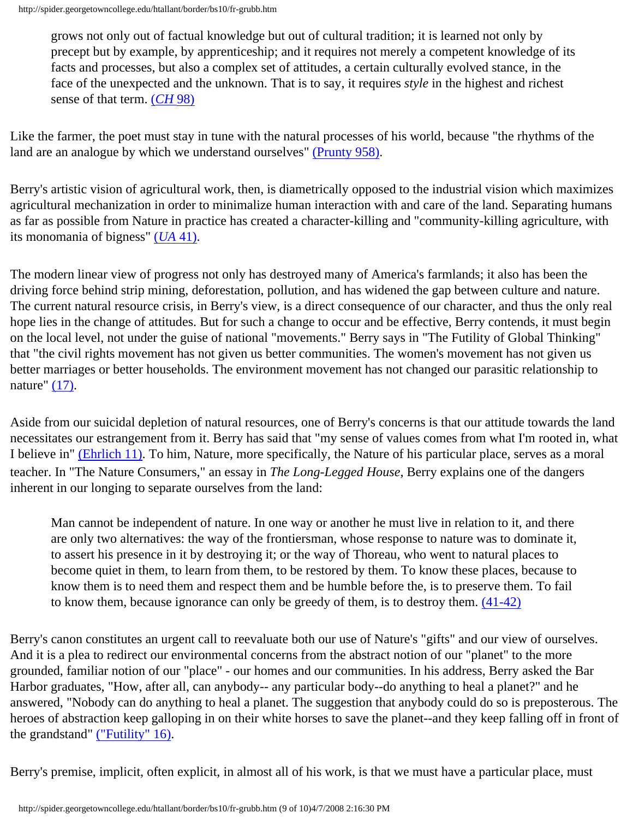grows not only out of factual knowledge but out of cultural tradition; it is learned not only by precept but by example, by apprenticeship; and it requires not merely a competent knowledge of its facts and processes, but also a complex set of attitudes, a certain culturally evolved stance, in the face of the unexpected and the unknown. That is to say, it requires *style* in the highest and richest sense of that term. (*[CH](#page-9-9)* 98)

Like the farmer, the poet must stay in tune with the natural processes of his world, because "the rhythms of the land are an analogue by which we understand ourselves" [\(Prunty 958\)](#page-9-10).

Berry's artistic vision of agricultural work, then, is diametrically opposed to the industrial vision which maximizes agricultural mechanization in order to minimalize human interaction with and care of the land. Separating humans as far as possible from Nature in practice has created a character-killing and "community-killing agriculture, with its monomania of bigness" (*UA* [41\)](#page-9-3).

The modern linear view of progress not only has destroyed many of America's farmlands; it also has been the driving force behind strip mining, deforestation, pollution, and has widened the gap between culture and nature. The current natural resource crisis, in Berry's view, is a direct consequence of our character, and thus the only real hope lies in the change of attitudes. But for such a change to occur and be effective, Berry contends, it must begin on the local level, not under the guise of national "movements." Berry says in "The Futility of Global Thinking" that "the civil rights movement has not given us better communities. The women's movement has not given us better marriages or better households. The environment movement has not changed our parasitic relationship to nature"  $(17)$ .

Aside from our suicidal depletion of natural resources, one of Berry's concerns is that our attitude towards the land necessitates our estrangement from it. Berry has said that "my sense of values comes from what I'm rooted in, what I believe in" [\(Ehrlich 11\).](#page-9-4) To him, Nature, more specifically, the Nature of his particular place, serves as a moral teacher. In "The Nature Consumers," an essay in *The Long-Legged House*, Berry explains one of the dangers inherent in our longing to separate ourselves from the land:

Man cannot be independent of nature. In one way or another he must live in relation to it, and there are only two alternatives: the way of the frontiersman, whose response to nature was to dominate it, to assert his presence in it by destroying it; or the way of Thoreau, who went to natural places to become quiet in them, to learn from them, to be restored by them. To know these places, because to know them is to need them and respect them and be humble before the, is to preserve them. To fail to know them, because ignorance can only be greedy of them, is to destroy them. [\(41-42\)](#page-9-1)

Berry's canon constitutes an urgent call to reevaluate both our use of Nature's "gifts" and our view of ourselves. And it is a plea to redirect our environmental concerns from the abstract notion of our "planet" to the more grounded, familiar notion of our "place" - our homes and our communities. In his address, Berry asked the Bar Harbor graduates, "How, after all, can anybody-- any particular body--do anything to heal a planet?" and he answered, "Nobody can do anything to heal a planet. The suggestion that anybody could do so is preposterous. The heroes of abstraction keep galloping in on their white horses to save the planet--and they keep falling off in front of the grandstand" [\("Futility" 16\)](#page-9-0).

Berry's premise, implicit, often explicit, in almost all of his work, is that we must have a particular place, must